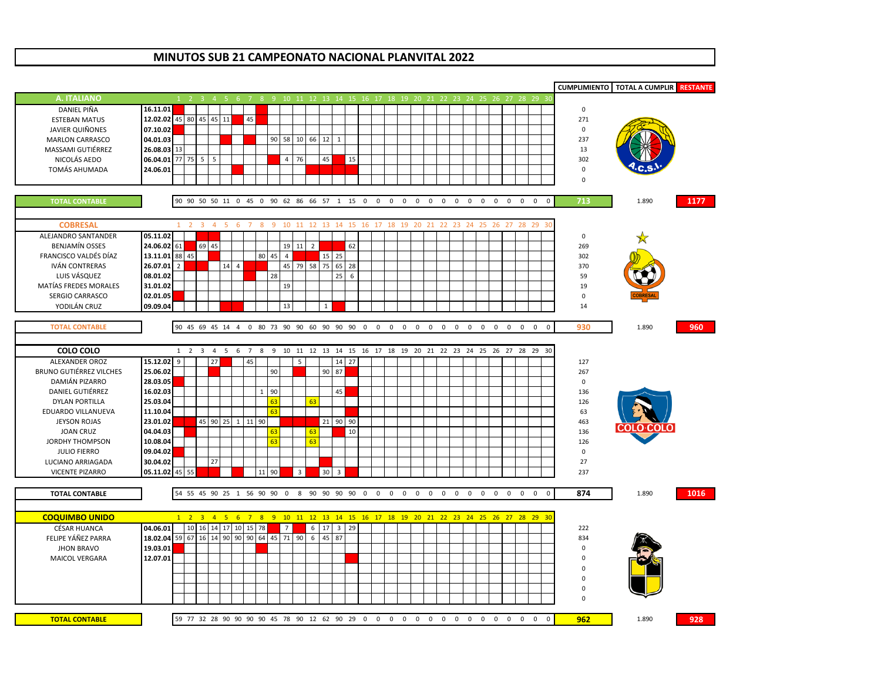## **MINUTOS SUB 21 CAMPEONATO NACIONAL PLANVITAL 2022**

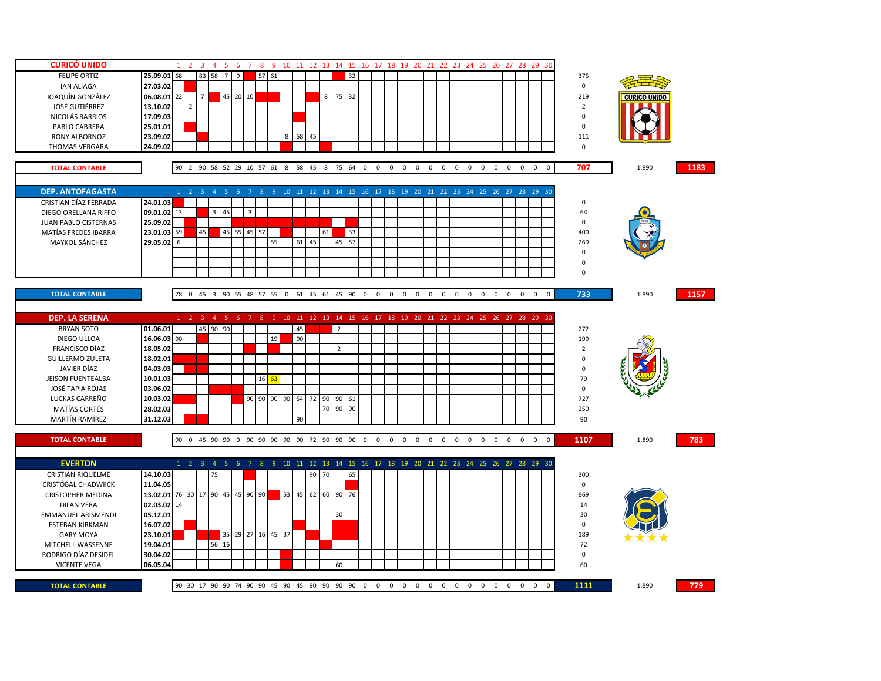| <b>CURICÓ UNIDO</b>       |                            |    |                     |                | 1 2 3 4 5 6                         |                |                         |       | 7 8 9 10 11 12 13 14 15 16 17 18 19 20 21 22 23 24 25 26 27 28 29 30             |          |       |    |                |    |                |                                                                |            |                |             |             |             |                |                          |                                |                |             |                |       |      |
|---------------------------|----------------------------|----|---------------------|----------------|-------------------------------------|----------------|-------------------------|-------|----------------------------------------------------------------------------------|----------|-------|----|----------------|----|----------------|----------------------------------------------------------------|------------|----------------|-------------|-------------|-------------|----------------|--------------------------|--------------------------------|----------------|-------------|----------------|-------|------|
| <b>FELIPE ORTIZ</b>       | 25.09.01                   | 68 |                     | 83 58          | $7^{\circ}$                         | 9              |                         | 57 61 |                                                                                  |          |       |    |                | 32 |                |                                                                |            |                |             |             |             |                |                          |                                |                |             | 375            |       |      |
| <b>IAN ALIAGA</b>         | 27.03.02                   |    |                     |                |                                     |                |                         |       |                                                                                  |          |       |    |                |    |                |                                                                |            |                |             |             |             |                |                          |                                |                |             | $\mathsf 0$    |       |      |
| JOAQUÍN GONZÁLEZ          | 06.08.01 22                |    |                     | $\overline{7}$ |                                     | 45 20 10       |                         |       |                                                                                  |          |       |    | 8 75 32        |    |                |                                                                |            |                |             |             |             |                |                          |                                |                |             | 219            |       |      |
| <b>JOSÉ GUTIÉRREZ</b>     | 13.10.02                   |    | $\overline{2}$      |                |                                     |                |                         |       |                                                                                  |          |       |    |                |    |                |                                                                |            |                |             |             |             |                |                          |                                |                |             | $\overline{2}$ |       |      |
| NICOLÁS BARRIOS           | 17.09.03                   |    |                     |                |                                     |                |                         |       |                                                                                  |          |       |    |                |    |                |                                                                |            |                |             |             |             |                |                          |                                |                |             | $\mathsf 0$    |       |      |
| PABLO CABRERA             | 25.01.01                   |    |                     |                |                                     |                |                         |       |                                                                                  |          |       |    |                |    |                |                                                                |            |                |             |             |             |                |                          |                                |                |             | $\mathsf 0$    |       |      |
|                           |                            |    |                     |                |                                     |                |                         |       |                                                                                  | 8 58 45  |       |    |                |    |                |                                                                |            |                |             |             |             |                |                          |                                |                |             | 111            |       |      |
| RONY ALBORNOZ             | 23.09.02                   |    |                     |                |                                     |                |                         |       |                                                                                  |          |       |    |                |    |                |                                                                |            |                |             |             |             |                |                          |                                |                |             |                |       |      |
| THOMAS VERGARA            | 24.09.02                   |    |                     |                |                                     |                |                         |       |                                                                                  |          |       |    |                |    |                |                                                                |            |                |             |             |             |                |                          |                                |                |             | $\mathbf 0$    |       |      |
|                           |                            |    |                     |                |                                     |                |                         |       |                                                                                  |          |       |    |                |    |                |                                                                |            |                |             |             |             |                |                          |                                |                |             |                |       |      |
| <b>TOTAL CONTABLE</b>     |                            |    |                     |                |                                     |                |                         |       | 90 2 90 58 52 29 10 57 61 8 58 45 8 75 64 0 0 0 0 0 0 0 0 0 0 0 0 0 0 0 0        |          |       |    |                |    |                |                                                                |            |                |             |             |             |                |                          |                                |                |             | 707            | 1.890 | 1183 |
|                           |                            |    |                     |                |                                     |                |                         |       |                                                                                  |          |       |    |                |    |                |                                                                |            |                |             |             |             |                |                          |                                |                |             |                |       |      |
| <b>DEP. ANTOFAGASTA</b>   |                            |    | $1 \quad 2 \quad 3$ |                | 45                                  | 6 <sub>7</sub> |                         |       | 8 9 10 11 12 13 14 15 16 17 18 19 20 21 22 23 24 25 26 27 28 29 30               |          |       |    |                |    |                |                                                                |            |                |             |             |             |                |                          |                                |                |             |                |       |      |
| CRISTIAN DÍAZ FERRADA     | 24.01.03                   |    |                     |                |                                     |                |                         |       |                                                                                  |          |       |    |                |    |                |                                                                |            |                |             |             |             |                |                          |                                |                |             | 0              |       |      |
| DIEGO ORELLANA RIFFO      | 09.01.02 13                |    |                     |                | $3 \quad 45$                        |                | $\overline{\mathbf{3}}$ |       |                                                                                  |          |       |    |                |    |                |                                                                |            |                |             |             |             |                |                          |                                |                |             | 64             |       |      |
| JUAN PABLO CISTERNAS      | 25.09.02                   |    |                     |                |                                     |                |                         |       |                                                                                  |          |       |    |                |    |                |                                                                |            |                |             |             |             |                |                          |                                |                |             | $\mathsf 0$    |       |      |
| MATÍAS FREDES IBARRA      | 23.01.03 59                |    |                     | 45             |                                     | 45 55 45 57    |                         |       |                                                                                  |          |       | 61 |                | 33 |                |                                                                |            |                |             |             |             |                |                          |                                |                |             | 400            |       |      |
| MAYKOL SÁNCHEZ            | 29.05.02 6                 |    |                     |                |                                     |                |                         |       | 55                                                                               |          | 61 45 |    | 45 57          |    |                |                                                                |            |                |             |             |             |                |                          |                                |                |             | 269            |       |      |
|                           |                            |    |                     |                |                                     |                |                         |       |                                                                                  |          |       |    |                |    |                |                                                                |            |                |             |             |             |                |                          |                                |                |             | $\mathsf 0$    |       |      |
|                           |                            |    |                     |                |                                     |                |                         |       |                                                                                  |          |       |    |                |    |                |                                                                |            |                |             |             |             |                |                          |                                |                |             | 0              |       |      |
|                           |                            |    |                     |                |                                     |                |                         |       |                                                                                  |          |       |    |                |    |                |                                                                |            |                |             |             |             |                |                          |                                |                |             | $\mathbf 0$    |       |      |
|                           |                            |    |                     |                |                                     |                |                         |       |                                                                                  |          |       |    |                |    |                |                                                                |            |                |             |             |             |                |                          |                                |                |             |                |       |      |
| <b>TOTAL CONTABLE</b>     |                            |    |                     |                |                                     |                |                         |       | 78 0 45 3 90 55 48 57 55 0 61 45 61 45 90 0                                      |          |       |    |                |    | $\overline{0}$ | $\mathbf 0$                                                    | $0\quad 0$ | $\mathbf{0}$   | $\mathsf 0$ | $\mathsf 0$ | $\mathsf 0$ | $\overline{0}$ | $\mathbf{0}$             | $\overline{0}$<br>$\mathbf{0}$ | $\overline{0}$ | $\mathbf 0$ | 733            | 1.890 | 1157 |
|                           |                            |    |                     |                |                                     |                |                         |       |                                                                                  |          |       |    |                |    |                |                                                                |            |                |             |             |             |                |                          |                                |                |             |                |       |      |
|                           |                            |    |                     |                |                                     |                |                         |       |                                                                                  |          |       |    |                |    |                |                                                                |            |                |             |             |             |                |                          |                                |                |             |                |       |      |
| <b>DEP. LA SERENA</b>     |                            |    |                     |                |                                     |                |                         |       | 1 2 3 4 5 6 7 8 9 10 11 12 13 14 15 16 17 18 19 20 21 22 23 24 25 26 27 28 29 30 |          |       |    |                |    |                |                                                                |            |                |             |             |             |                |                          |                                |                |             |                |       |      |
| <b>BRYAN SOTO</b>         | 01.06.01                   |    |                     |                | 45 90 90                            |                |                         |       |                                                                                  | 45       |       |    | $\overline{2}$ |    |                |                                                                |            |                |             |             |             |                |                          |                                |                |             | 272            |       |      |
| DIEGO ULLOA               | 16.06.03 90                |    |                     |                |                                     |                |                         |       | 19                                                                               | 90       |       |    |                |    |                |                                                                |            |                |             |             |             |                |                          |                                |                |             | 199            |       |      |
| FRANCISCO DÍAZ            | 18.05.02                   |    |                     |                |                                     |                |                         |       |                                                                                  |          |       |    | $\overline{2}$ |    |                |                                                                |            |                |             |             |             |                |                          |                                |                |             | $\overline{2}$ |       |      |
| <b>GUILLERMO ZULETA</b>   | 18.02.01                   |    |                     |                |                                     |                |                         |       |                                                                                  |          |       |    |                |    |                |                                                                |            |                |             |             |             |                |                          |                                |                |             | $\pmb{0}$      |       |      |
| JAVIER DÍAZ               | 04.03.03                   |    |                     |                |                                     |                |                         |       |                                                                                  |          |       |    |                |    |                |                                                                |            |                |             |             |             |                |                          |                                |                |             | $\mathbf 0$    |       |      |
| <b>JEISON FUENTEALBA</b>  | 10.01.03                   |    |                     |                |                                     |                |                         | 16    | 63                                                                               |          |       |    |                |    |                |                                                                |            |                |             |             |             |                |                          |                                |                |             | 79             |       |      |
| JOSÉ TAPIA ROJAS          | 03.06.02                   |    |                     |                |                                     |                |                         |       |                                                                                  |          |       |    |                |    |                |                                                                |            |                |             |             |             |                |                          |                                |                |             | $\pmb{0}$      |       |      |
| LUCKAS CARREÑO            | 10.03.02                   |    |                     |                |                                     |                |                         |       | 90 90 90 90                                                                      |          | 54 72 | 90 | 90 61          |    |                |                                                                |            |                |             |             |             |                |                          |                                |                |             | 727            |       |      |
| MATÍAS CORTÉS             | 28.02.03                   |    |                     |                |                                     |                |                         |       |                                                                                  |          |       | 70 | 90             | 90 |                |                                                                |            |                |             |             |             |                |                          |                                |                |             | 250            |       |      |
| MARTÍN RAMÍREZ            | 31.12.03                   |    |                     |                |                                     |                |                         |       |                                                                                  | 90       |       |    |                |    |                |                                                                |            |                |             |             |             |                |                          |                                |                |             | 90             |       |      |
|                           |                            |    |                     |                |                                     |                |                         |       |                                                                                  |          |       |    |                |    |                |                                                                |            |                |             |             |             |                |                          |                                |                |             |                |       |      |
| <b>TOTAL CONTABLE</b>     |                            |    |                     |                |                                     |                |                         |       | 90 0 45 90 90 0 90 90 90 90 90 72 90 90 90 0                                     |          |       |    |                |    |                | $0\quad 0\quad 0\quad 0$                                       |            | $\overline{0}$ |             | $0\quad 0$  | $\mathbf 0$ | $\overline{0}$ | $0\quad 0\quad 0\quad 0$ |                                |                | $\mathbf 0$ | 1107           | 1.890 | 783  |
|                           |                            |    |                     |                |                                     |                |                         |       |                                                                                  |          |       |    |                |    |                |                                                                |            |                |             |             |             |                |                          |                                |                |             |                |       |      |
| <b>EVERTON</b>            |                            |    |                     |                | $1 \quad 2 \quad 3 \quad 4 \quad 5$ | 6              | $\overline{7}$          | 8     | - 9                                                                              |          |       |    |                |    |                | 10 11 12 13 14 15 16 17 18 19 20 21 22 23 24 25 26 27 28 29 30 |            |                |             |             |             |                |                          |                                |                |             |                |       |      |
| CRISTIÁN RIQUELME         | 14.10.03                   |    |                     | 75             |                                     |                |                         |       |                                                                                  |          | 90    | 70 |                | 65 |                |                                                                |            |                |             |             |             |                |                          |                                |                |             | 300            |       |      |
| CRISTÓBAL CHADWIICK       | 11.04.05                   |    |                     |                |                                     |                |                         |       |                                                                                  |          |       |    |                |    |                |                                                                |            |                |             |             |             |                |                          |                                |                |             | $\mathbf 0$    |       |      |
| <b>CRISTOPHER MEDINA</b>  | 13.02.01 76 30 17 90 45 45 |    |                     |                |                                     |                | 90 90                   |       |                                                                                  | 53 45 62 |       |    | 60 90 76       |    |                |                                                                |            |                |             |             |             |                |                          |                                |                |             | 869            |       |      |
| <b>DILAN VERA</b>         | 02.03.02 14                |    |                     |                |                                     |                |                         |       |                                                                                  |          |       |    |                |    |                |                                                                |            |                |             |             |             |                |                          |                                |                |             | 14             |       |      |
| <b>EMMANUEL ARISMENDI</b> |                            |    |                     |                |                                     |                |                         |       |                                                                                  |          |       |    |                |    |                |                                                                |            |                |             |             |             |                |                          |                                |                |             | 30             |       |      |
|                           | 05.12.01                   |    |                     |                |                                     |                |                         |       |                                                                                  |          |       |    | 30             |    |                |                                                                |            |                |             |             |             |                |                          |                                |                |             |                |       |      |
| ESTEBAN KIRKMAN           | 16.07.02                   |    |                     |                |                                     |                |                         |       |                                                                                  |          |       |    |                |    |                |                                                                |            |                |             |             |             |                |                          |                                |                |             | $\mathbf 0$    |       |      |
| <b>GARY MOYA</b>          | 23.10.01                   |    |                     |                |                                     |                |                         |       | 35 29 27 16 45 37                                                                |          |       |    |                |    |                |                                                                |            |                |             |             |             |                |                          |                                |                |             | 189            |       |      |
| MITCHELL WASSENNE         | 19.04.01                   |    |                     |                | 56 16                               |                |                         |       |                                                                                  |          |       |    |                |    |                |                                                                |            |                |             |             |             |                |                          |                                |                |             | 72             |       |      |
| RODRIGO DÍAZ DESIDEL      | 30.04.02                   |    |                     |                |                                     |                |                         |       |                                                                                  |          |       |    |                |    |                |                                                                |            |                |             |             |             |                |                          |                                |                |             | $\mathsf 0$    |       |      |
| <b>VICENTE VEGA</b>       | 06.05.04                   |    |                     |                |                                     |                |                         |       |                                                                                  |          |       |    | 60             |    |                |                                                                |            |                |             |             |             |                |                          |                                |                |             | 60             |       |      |
|                           |                            |    |                     |                |                                     |                |                         |       |                                                                                  |          |       |    |                |    |                |                                                                |            |                |             |             |             |                |                          |                                |                |             |                |       |      |
| <b>TOTAL CONTABLE</b>     |                            |    |                     |                |                                     |                |                         |       |                                                                                  |          |       |    |                |    |                |                                                                |            |                |             |             |             |                |                          |                                |                | $\mathbf 0$ | 1111           | 1.890 | 779  |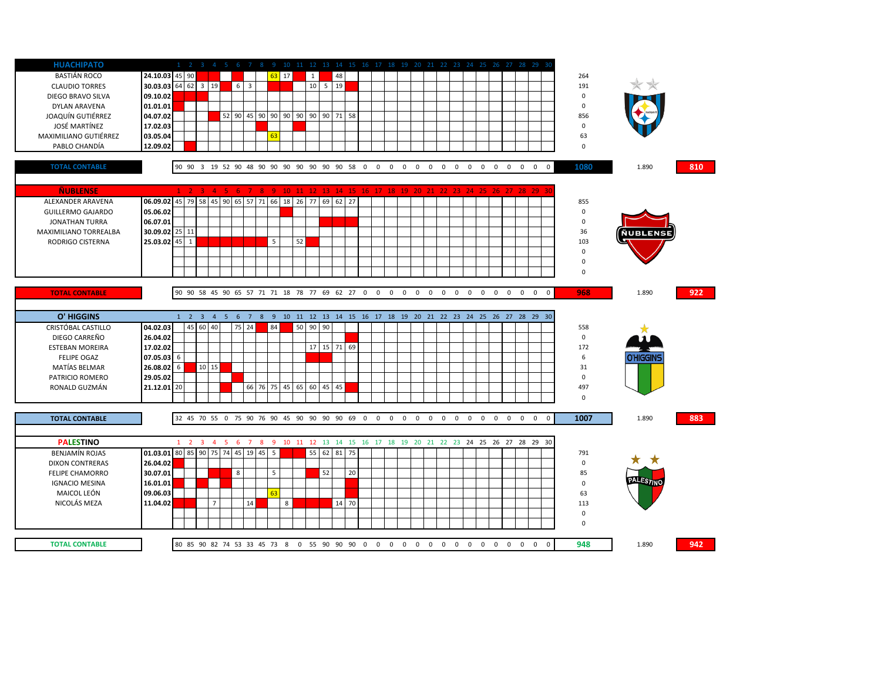| <b>HUACHIPATO</b>        |                         |                                                              |          |                |                                        |             |                |    |         |          |              |              |                               |            |                |                   |             |             |                               |                         |                |              |                   | 1 2 3 4 5 6 7 8 9 10 11 12 13 14 15 16 17 18 19 20 21 22 23 24 25 26 27 28 29 30 |             |                  |     |
|--------------------------|-------------------------|--------------------------------------------------------------|----------|----------------|----------------------------------------|-------------|----------------|----|---------|----------|--------------|--------------|-------------------------------|------------|----------------|-------------------|-------------|-------------|-------------------------------|-------------------------|----------------|--------------|-------------------|----------------------------------------------------------------------------------|-------------|------------------|-----|
| BASTIÁN ROCO             | 24.10.03 45 90          |                                                              |          |                |                                        |             |                |    | $63$ 17 |          | $\mathbf{1}$ |              | 48                            |            |                |                   |             |             |                               |                         |                |              |                   |                                                                                  | 264         |                  |     |
| <b>CLAUDIO TORRES</b>    | 30.03.03 64 62 3 19     |                                                              |          |                |                                        | $6 \quad 3$ |                |    |         |          | 10           | $5 \quad 19$ |                               |            |                |                   |             |             |                               |                         |                |              |                   |                                                                                  | 191         |                  |     |
| DIEGO BRAVO SILVA        | 09.10.02                |                                                              |          |                |                                        |             |                |    |         |          |              |              |                               |            |                |                   |             |             |                               |                         |                |              |                   |                                                                                  | 0           |                  |     |
| <b>DYLAN ARAVENA</b>     | 01.01.01                |                                                              |          |                |                                        |             |                |    |         |          |              |              |                               |            |                |                   |             |             |                               |                         |                |              |                   |                                                                                  | $\mathbf 0$ |                  |     |
| JOAQUÍN GUTIÉRREZ        | 04.07.02                |                                                              |          |                | 52                                     |             |                |    |         |          |              |              | 90 45 90 90 90 90 90 90 71 58 |            |                |                   |             |             |                               |                         |                |              |                   |                                                                                  | 856         |                  |     |
| JOSÉ MARTÍNEZ            | 17.02.03                |                                                              |          |                |                                        |             |                |    |         |          |              |              |                               |            |                |                   |             |             |                               |                         |                |              |                   |                                                                                  | $\pmb{0}$   |                  |     |
| MAXIMILIANO GUTIÉRREZ    | 03.05.04                |                                                              |          |                |                                        |             |                | 63 |         |          |              |              |                               |            |                |                   |             |             |                               |                         |                |              |                   |                                                                                  | 63          |                  |     |
| PABLO CHANDÍA            | 12.09.02                |                                                              |          |                |                                        |             |                |    |         |          |              |              |                               |            |                |                   |             |             |                               |                         |                |              |                   |                                                                                  | $\mathbf 0$ |                  |     |
|                          |                         |                                                              |          |                |                                        |             |                |    |         |          |              |              |                               |            |                |                   |             |             |                               |                         |                |              |                   |                                                                                  |             |                  |     |
| <b>TOTAL CONTABLE</b>    |                         | 90 90 3 19 52 90 48 90 90 90 90 90 90 90 90 58 0 0 0 0 0 0 0 |          |                |                                        |             |                |    |         |          |              |              |                               |            |                |                   |             |             | $\overline{0}$<br>$\mathbf 0$ | $\overline{\mathbf{0}}$ | $\overline{0}$ | $\mathbf{0}$ |                   | $0\quad 0$<br>$\overline{0}$                                                     | 1080        | 1.890            | 810 |
|                          |                         |                                                              |          |                |                                        |             |                |    |         |          |              |              |                               |            |                |                   |             |             |                               |                         |                |              |                   |                                                                                  |             |                  |     |
| <b>ÑUBLENSE</b>          |                         |                                                              |          |                | $1\quad 2\quad 3\quad 4\quad 5\quad 6$ |             |                |    |         |          |              |              |                               |            |                |                   |             |             |                               |                         |                |              |                   | 7 8 9 10 11 12 13 14 15 16 17 18 19 20 21 22 23 24 25 26 27 28 29 30             |             |                  |     |
| ALEXANDER ARAVENA        | 06.09.02 45 79 58       |                                                              |          | 45 90          | 65                                     |             | 57 71          |    |         |          |              |              | 66 18 26 77 69 62 27          |            |                |                   |             |             |                               |                         |                |              |                   |                                                                                  | 855         |                  |     |
|                          | 05.06.02                |                                                              |          |                |                                        |             |                |    |         |          |              |              |                               |            |                |                   |             |             |                               |                         |                |              |                   |                                                                                  | $\pmb{0}$   |                  |     |
| <b>GUILLERMO GAJARDO</b> | 06.07.01                |                                                              |          |                |                                        |             |                |    |         |          |              |              |                               |            |                |                   |             |             |                               |                         |                |              |                   |                                                                                  | $\pmb{0}$   |                  |     |
| <b>JONATHAN TURRA</b>    |                         |                                                              |          |                |                                        |             |                |    |         |          |              |              |                               |            |                |                   |             |             |                               |                         |                |              |                   |                                                                                  |             |                  |     |
| MAXIMILIANO TORREALBA    | 30.09.02 25 11          |                                                              |          |                |                                        |             |                |    |         |          |              |              |                               |            |                |                   |             |             |                               |                         |                |              |                   |                                                                                  | 36          | ÑUBLENSE         |     |
| RODRIGO CISTERNA         | 25.03.02 45             | $\mathbf{1}$                                                 |          |                |                                        |             |                | 5  |         | 52       |              |              |                               |            |                |                   |             |             |                               |                         |                |              |                   |                                                                                  | 103         |                  |     |
|                          |                         |                                                              |          |                |                                        |             |                |    |         |          |              |              |                               |            |                |                   |             |             |                               |                         |                |              |                   |                                                                                  | $\mathbf 0$ |                  |     |
|                          |                         |                                                              |          |                |                                        |             |                |    |         |          |              |              |                               |            |                |                   |             |             |                               |                         |                |              |                   |                                                                                  | $\pmb{0}$   |                  |     |
|                          |                         |                                                              |          |                |                                        |             |                |    |         |          |              |              |                               |            |                |                   |             |             |                               |                         |                |              |                   |                                                                                  | $\mathbf 0$ |                  |     |
|                          |                         |                                                              |          |                |                                        |             |                |    |         |          |              |              |                               |            |                |                   |             |             |                               |                         |                |              |                   |                                                                                  |             |                  |     |
| <b>TOTAL CONTABLE</b>    |                         | 90 90 58 45 90 65 57 71 71 18 78 77 69 62 27 0 0 0 0         |          |                |                                        |             |                |    |         |          |              |              |                               |            |                | $0\quad 0\quad 0$ |             |             | $\overline{0}$<br>$\mathbf 0$ | $\mathbf 0$             | $\overline{0}$ |              | $0\quad 0\quad 0$ | $\mathbf{0}$                                                                     | 968         | 1.890            | 922 |
|                          |                         |                                                              |          |                |                                        |             |                |    |         |          |              |              |                               |            |                |                   |             |             |                               |                         |                |              |                   |                                                                                  |             |                  |     |
|                          |                         |                                                              |          |                |                                        |             |                |    |         |          |              |              |                               |            |                |                   |             |             |                               |                         |                |              |                   |                                                                                  |             |                  |     |
| O' HIGGINS               |                         |                                                              |          |                |                                        |             |                |    |         |          |              |              |                               |            |                |                   |             |             |                               |                         |                |              |                   | 1 2 3 4 5 6 7 8 9 10 11 12 13 14 15 16 17 18 19 20 21 22 23 24 25 26 27 28 29 30 |             |                  |     |
| CRISTÓBAL CASTILLO       | 04.02.03                |                                                              | 45 60 40 |                |                                        | 75 24       |                | 84 |         | 50 90 90 |              |              |                               |            |                |                   |             |             |                               |                         |                |              |                   |                                                                                  | 558         |                  |     |
| DIEGO CARREÑO            | 26.04.02                |                                                              |          |                |                                        |             |                |    |         |          |              |              |                               |            |                |                   |             |             |                               |                         |                |              |                   |                                                                                  | $\mathbf 0$ |                  |     |
| <b>ESTEBAN MOREIRA</b>   | 17.02.02                |                                                              |          |                |                                        |             |                |    |         |          |              |              | 17 15 71 69                   |            |                |                   |             |             |                               |                         |                |              |                   |                                                                                  | 172         |                  |     |
| <b>FELIPE OGAZ</b>       | 07.05.03 6              |                                                              |          |                |                                        |             |                |    |         |          |              |              |                               |            |                |                   |             |             |                               |                         |                |              |                   |                                                                                  | 6           | <b>J'HIGGINS</b> |     |
| MATÍAS BELMAR            | 26.08.02 6              |                                                              |          | 10 15          |                                        |             |                |    |         |          |              |              |                               |            |                |                   |             |             |                               |                         |                |              |                   |                                                                                  | 31          |                  |     |
| PATRICIO ROMERO          | 29.05.02                |                                                              |          |                |                                        |             |                |    |         |          |              |              |                               |            |                |                   |             |             |                               |                         |                |              |                   |                                                                                  | $\mathbf 0$ |                  |     |
| RONALD GUZMÁN            | 21.12.01 20             |                                                              |          |                |                                        |             | 66 76 75 45 65 |    |         |          | 60 45 45     |              |                               |            |                |                   |             |             |                               |                         |                |              |                   |                                                                                  | 497         |                  |     |
|                          |                         |                                                              |          |                |                                        |             |                |    |         |          |              |              |                               |            |                |                   |             |             |                               |                         |                |              |                   |                                                                                  | $\mathbf 0$ |                  |     |
|                          |                         |                                                              |          |                |                                        |             |                |    |         |          |              |              |                               |            |                |                   |             |             |                               |                         |                |              |                   |                                                                                  |             |                  |     |
| <b>TOTAL CONTABLE</b>    |                         | 32 45 70 55 0 75 90 76 90 45 90 90 90 90 69 0                |          |                |                                        |             |                |    |         |          |              |              |                               | $0\quad 0$ | $\overline{0}$ | $\mathbf 0$       | $\mathbf 0$ | $\mathbf 0$ | $\mathbf 0$<br>$\mathbf 0$    | $\mathsf 0$             | $\mathbf 0$    | $\mathbf 0$  |                   | $0\quad 0$<br>$\mathbf 0$                                                        | 1007        | 1.890            | 883 |
|                          |                         |                                                              |          |                |                                        |             |                |    |         |          |              |              |                               |            |                |                   |             |             |                               |                         |                |              |                   |                                                                                  |             |                  |     |
| <b>PALESTINO</b>         |                         | $1 \quad 2 \quad 3$                                          |          | 4 <sub>5</sub> | 6                                      |             |                |    |         |          |              |              |                               |            |                |                   |             |             |                               |                         |                |              |                   | 7 8 9 10 11 12 13 14 15 16 17 18 19 20 21 22 23 24 25 26 27 28 29 30             |             |                  |     |
| <b>BENJAMÍN ROJAS</b>    | 01.03.01 80 85 90 75 74 |                                                              |          |                | 45                                     |             | 19 45          | 5  |         |          |              |              | 55 62 81 75                   |            |                |                   |             |             |                               |                         |                |              |                   |                                                                                  | 791         |                  |     |
| <b>DIXON CONTRERAS</b>   | 26.04.02                |                                                              |          |                |                                        |             |                |    |         |          |              |              |                               |            |                |                   |             |             |                               |                         |                |              |                   |                                                                                  | $\mathbf 0$ |                  |     |
| <b>FELIPE CHAMORRO</b>   | 30.07.01                |                                                              |          |                | 8                                      |             |                | 5  |         |          |              | 52           | 20                            |            |                |                   |             |             |                               |                         |                |              |                   |                                                                                  | 85          |                  |     |
| <b>IGNACIO MESINA</b>    | 16.01.01                |                                                              |          |                |                                        |             |                |    |         |          |              |              |                               |            |                |                   |             |             |                               |                         |                |              |                   |                                                                                  | $\mathbf 0$ |                  |     |
| MAICOL LEÓN              | 09.06.03                |                                                              |          |                |                                        |             |                | 63 |         |          |              |              |                               |            |                |                   |             |             |                               |                         |                |              |                   |                                                                                  | 63          |                  |     |
| NICOLÁS MEZA             | 11.04.02                |                                                              |          | $\overline{7}$ |                                        | $14\,$      |                |    | 8       |          |              |              | 14 70                         |            |                |                   |             |             |                               |                         |                |              |                   |                                                                                  | 113         |                  |     |
|                          |                         |                                                              |          |                |                                        |             |                |    |         |          |              |              |                               |            |                |                   |             |             |                               |                         |                |              |                   |                                                                                  | 0           |                  |     |
|                          |                         |                                                              |          |                |                                        |             |                |    |         |          |              |              |                               |            |                |                   |             |             |                               |                         |                |              |                   |                                                                                  | $\mathbf 0$ |                  |     |
|                          |                         |                                                              |          |                |                                        |             |                |    |         |          |              |              |                               |            |                |                   |             |             |                               |                         |                |              |                   |                                                                                  |             |                  |     |